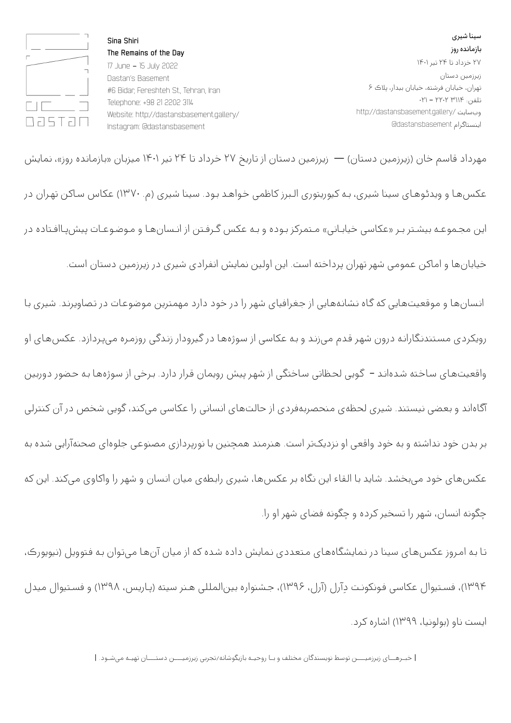سینا شیری بازمانده روز ۲۷ خزداد تا ۲۴ تیر ۱۴۰۱ زیرزمین دستان تهران، خیابان فرشته، خیابان بیدار، پلاک ۶ تلفن: ۳۱۱۴ ۲۲۰۲ - ۰۲۱ http://dastansbasement.gallery/ وبسایت اینستاگرام dastansbasement@

**Sina Shiri The Remains of the Day**  17 June - 15 July 2022 Dastan's Basement #6 Bidar, Fereshteh St., Tehran, Iran Telephone: +98 21 2202 3114 Website: http://dastansbasement.gallery/ Instagram: @dastansbasement



مهـرداد قـاسـم خـان (زیرزمین دسـتان) — زیرزمین دسـتان از تـاریخ ۲۷ خـرداد تـا ۲۴ تیر ۱۴۰۱ میزبـان «بـازمـانـده روز»، نـمایش عکسهـا و ویدئـوهـای سینا شیری، بـه کیوریتوری الـبرز کاظمی خـواهـد بـود. سینا شیری (م. ۱۳۷۰) عکاس سـاکن تهـران در این مجـموعـه بيشـتر بـر «عکاسی خیابـانی» مـتمرکز بـوده و بـه عکس گـرفـتن از انـسانهـا و مـوضـوعـات پیشپـاافـتاده در خیابانها و اماکن عمومی شهر تهران پرداخته است. این اولین نمایش انفرادی شیری در زیرزمین دستان است. انـسانهـا و مـوقعیتهـایی که گـاه نـشانـههـایی از جـغرافیای شهـر را در خـود دارد مـهمترین مـوضـوعـات در تـصاویرنـد. شیری بـا رویکردی مسـتندنـگارانـه درون شهـر قـدم میزنـد و بـه عکاسی از سـوژههـا در گیرودار زنـدگی روزمـره میپـردازد. عکسهـای او واقعیتهـای سـاخـته شـدهانـد – گـویی لحـظاتی سـاختگی از شهـر پیش رویمان قـرار دارد. بـرخی از سـوژههـا بـه حـضور دوربین آگـاهانـد و بعضی نیستند. شیری لحـظهی مـنحصربـهفـردی از حـالـتهـای انـسانی را عکاسی میکند، گـویی شـخص در آن کنترلی بر بدن خود نداشته و به خود واقعی او نزدیکتر است. هنرمند همچنین با نورپردازی مصنوعی جلوهای صحنهآرایی شده به عکسهـای خـود میبخشـد. شـاید بـا الـقاء این نـگاه بـر عکسهـا، شیری رابـطهی میان انـسان و شهـر را واکاوی میکند. این که چگونه انسان، شهر را تسخیر کرده و چگونه فضای شهر او را.

تـا بـه امـروز عکسهـای سینا در نـمایشگاههـای مـتعددی نـمایش داده شـده که از میان آنهـا میتـوان بـه فـتوویل (نیویورک، ۱۳۹۴)، فسـتیوال عکاسی فـونکونـت دِآرل (آرل، ۱۳۹۶)، جـشنواره بینالمللی هـنر سیته (پـاریس، ۱۳۹۸) و فسـتیوال میدل ایست ناو (بولونیا، ۱۳۹۹) اشاره کرد.

| خبـرهــای زیرزمیـــن توسط نویسندگان مختلف و بـا روحیـه بازیگوشانه/تجربی زیرزمیـــن دستـــان تهیـه میشـود. |